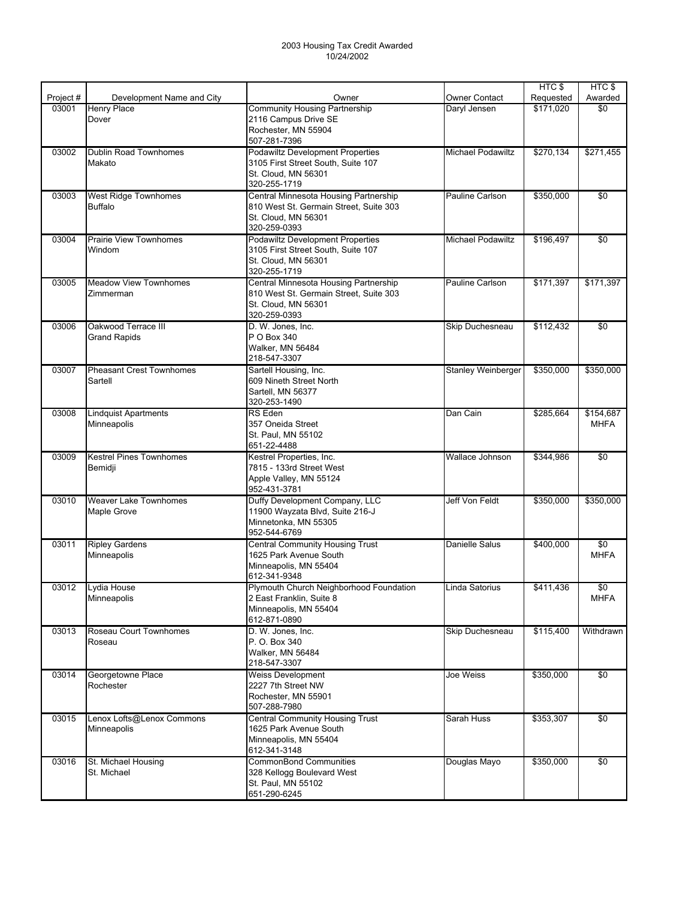|           |                                 |                                           |                           | HTC\$     | HTC\$           |
|-----------|---------------------------------|-------------------------------------------|---------------------------|-----------|-----------------|
| Project # | Development Name and City       | Owner                                     | <b>Owner Contact</b>      | Requested | Awarded         |
| 03001     | <b>Henry Place</b>              | <b>Community Housing Partnership</b>      | Daryl Jensen              | \$171,020 | \$0             |
|           | Dover                           | 2116 Campus Drive SE                      |                           |           |                 |
|           |                                 | Rochester, MN 55904                       |                           |           |                 |
|           |                                 | 507-281-7396                              |                           |           |                 |
| 03002     | Dublin Road Townhomes           | <b>Podawiltz Development Properties</b>   | <b>Michael Podawiltz</b>  | \$270,134 | \$271,455       |
|           | Makato                          | 3105 First Street South, Suite 107        |                           |           |                 |
|           |                                 | St. Cloud, MN 56301                       |                           |           |                 |
|           |                                 | 320-255-1719                              |                           |           |                 |
| 03003     | West Ridge Townhomes            | Central Minnesota Housing Partnership     | Pauline Carlson           | \$350,000 | \$0             |
|           | <b>Buffalo</b>                  | 810 West St. Germain Street, Suite 303    |                           |           |                 |
|           |                                 | St. Cloud, MN 56301                       |                           |           |                 |
|           |                                 | 320-259-0393                              |                           |           |                 |
| 03004     | <b>Prairie View Townhomes</b>   | <b>Podawiltz Development Properties</b>   | <b>Michael Podawiltz</b>  | \$196,497 | \$0             |
|           | Windom                          | 3105 First Street South, Suite 107        |                           |           |                 |
|           |                                 | St. Cloud, MN 56301                       |                           |           |                 |
|           |                                 | 320-255-1719                              |                           |           |                 |
| 03005     | <b>Meadow View Townhomes</b>    | Central Minnesota Housing Partnership     | Pauline Carlson           | \$171,397 | \$171,397       |
|           | Zimmerman                       | 810 West St. Germain Street, Suite 303    |                           |           |                 |
|           |                                 | St. Cloud, MN 56301                       |                           |           |                 |
|           |                                 | 320-259-0393                              |                           |           |                 |
| 03006     | Oakwood Terrace III             | D. W. Jones, Inc.                         | Skip Duchesneau           | \$112.432 | \$0             |
|           | <b>Grand Rapids</b>             | P O Box 340                               |                           |           |                 |
|           |                                 | Walker, MN 56484                          |                           |           |                 |
|           |                                 | 218-547-3307                              |                           |           |                 |
| 03007     | <b>Pheasant Crest Townhomes</b> | Sartell Housing, Inc.                     | <b>Stanley Weinberger</b> | \$350,000 | \$350,000       |
|           | Sartell                         | 609 Nineth Street North                   |                           |           |                 |
|           |                                 | Sartell, MN 56377                         |                           |           |                 |
|           |                                 | 320-253-1490                              |                           |           |                 |
| 03008     | <b>Lindquist Apartments</b>     | RS Eden                                   | Dan Cain                  | \$285,664 | \$154,687       |
|           | Minneapolis                     | 357 Oneida Street                         |                           |           | <b>MHFA</b>     |
|           |                                 | St. Paul, MN 55102                        |                           |           |                 |
|           |                                 | 651-22-4488                               |                           |           |                 |
| 03009     | <b>Kestrel Pines Townhomes</b>  | Kestrel Properties, Inc.                  | Wallace Johnson           | \$344,986 | \$0             |
|           | Bemidji                         | 7815 - 133rd Street West                  |                           |           |                 |
|           |                                 | Apple Valley, MN 55124                    |                           |           |                 |
|           |                                 | 952-431-3781                              |                           |           |                 |
| 03010     | <b>Weaver Lake Townhomes</b>    | Duffy Development Company, LLC            | Jeff Von Feldt            | \$350,000 | \$350,000       |
|           | Maple Grove                     | 11900 Wayzata Blvd, Suite 216-J           |                           |           |                 |
|           |                                 | Minnetonka. MN 55305                      |                           |           |                 |
|           |                                 | 952-544-6769                              |                           |           |                 |
| 03011     | <b>Ripley Gardens</b>           | <b>Central Community Housing Trust</b>    | Danielle Salus            | \$400,000 | $\sqrt{50}$     |
|           | Minneapolis                     | 1625 Park Avenue South                    |                           |           | <b>MHFA</b>     |
|           |                                 | Minneapolis, MN 55404                     |                           |           |                 |
|           |                                 | 612-341-9348                              |                           |           |                 |
|           | 03012 Lydia House               | Plymouth Church Neighborhood Foundation   | Linda Satorius            | \$411,436 | $\overline{50}$ |
|           | Minneapolis                     | 2 East Franklin, Suite 8                  |                           |           | <b>MHFA</b>     |
|           |                                 | Minneapolis, MN 55404                     |                           |           |                 |
|           |                                 | 612-871-0890                              |                           |           |                 |
| 03013     | Roseau Court Townhomes          | D. W. Jones, Inc.                         | Skip Duchesneau           | \$115,400 | Withdrawn       |
|           | Roseau                          | P. O. Box 340                             |                           |           |                 |
|           |                                 | Walker, MN 56484                          |                           |           |                 |
|           |                                 | 218-547-3307                              |                           |           |                 |
|           |                                 |                                           |                           |           |                 |
| 03014     | Georgetowne Place               | <b>Weiss Development</b>                  | Joe Weiss                 | \$350,000 | \$0             |
|           | Rochester                       | 2227 7th Street NW<br>Rochester, MN 55901 |                           |           |                 |
|           |                                 | 507-288-7980                              |                           |           |                 |
|           |                                 |                                           |                           |           |                 |
| 03015     | Lenox Lofts@Lenox Commons       | <b>Central Community Housing Trust</b>    | Sarah Huss                | \$353,307 | \$0             |
|           | Minneapolis                     | 1625 Park Avenue South                    |                           |           |                 |
|           |                                 | Minneapolis, MN 55404                     |                           |           |                 |
|           |                                 | 612-341-3148                              |                           |           |                 |
| 03016     | St. Michael Housing             | <b>CommonBond Communities</b>             | Douglas Mayo              | \$350,000 | \$0             |
|           | St. Michael                     | 328 Kellogg Boulevard West                |                           |           |                 |
|           |                                 | St. Paul, MN 55102                        |                           |           |                 |
|           |                                 | 651-290-6245                              |                           |           |                 |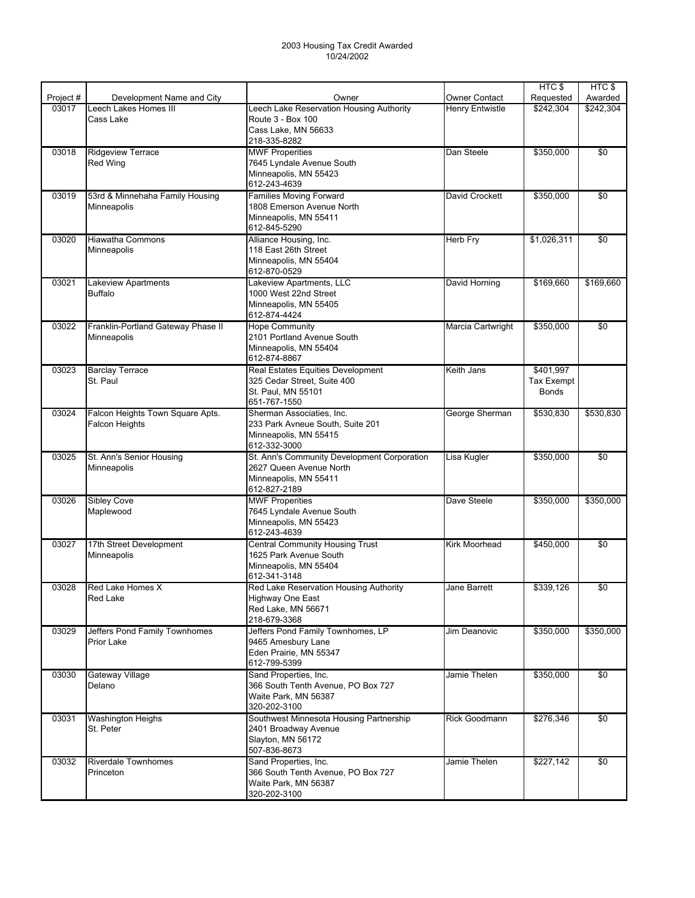|           |                                    |                                             |                        | HTC <sub>\$</sub> | HTC\$           |
|-----------|------------------------------------|---------------------------------------------|------------------------|-------------------|-----------------|
| Project # | Development Name and City          | Owner                                       | <b>Owner Contact</b>   | Requested         | Awarded         |
| 03017     | Leech Lakes Homes III              | Leech Lake Reservation Housing Authority    | <b>Henry Entwistle</b> | \$242,304         | \$242,304       |
|           | Cass Lake                          | Route 3 - Box 100                           |                        |                   |                 |
|           |                                    | Cass Lake, MN 56633                         |                        |                   |                 |
|           |                                    | 218-335-8282                                |                        |                   |                 |
| 03018     | <b>Ridgeview Terrace</b>           | <b>MWF Properities</b>                      | Dan Steele             | \$350,000         | \$0             |
|           | <b>Red Wing</b>                    | 7645 Lyndale Avenue South                   |                        |                   |                 |
|           |                                    | Minneapolis, MN 55423                       |                        |                   |                 |
|           |                                    | 612-243-4639                                |                        |                   |                 |
| 03019     | 53rd & Minnehaha Family Housing    | <b>Families Moving Forward</b>              | David Crockett         | \$350,000         | $\overline{50}$ |
|           | Minneapolis                        | 1808 Emerson Avenue North                   |                        |                   |                 |
|           |                                    | Minneapolis, MN 55411                       |                        |                   |                 |
|           |                                    | 612-845-5290                                |                        |                   |                 |
| 03020     | <b>Hiawatha Commons</b>            | Alliance Housing, Inc.                      | <b>Herb Fry</b>        | \$1,026,311       | \$0             |
|           | Minneapolis                        | 118 East 26th Street                        |                        |                   |                 |
|           |                                    | Minneapolis, MN 55404                       |                        |                   |                 |
|           |                                    | 612-870-0529                                |                        |                   |                 |
| 03021     | Lakeview Apartments                | Lakeview Apartments, LLC                    | David Horning          | \$169,660         | \$169,660       |
|           | <b>Buffalo</b>                     | 1000 West 22nd Street                       |                        |                   |                 |
|           |                                    | Minneapolis, MN 55405                       |                        |                   |                 |
|           |                                    | 612-874-4424                                |                        |                   |                 |
| 03022     | Franklin-Portland Gateway Phase II | <b>Hope Community</b>                       | Marcia Cartwright      | \$350,000         | \$0             |
|           | Minneapolis                        | 2101 Portland Avenue South                  |                        |                   |                 |
|           |                                    | Minneapolis, MN 55404                       |                        |                   |                 |
|           |                                    | 612-874-8867                                |                        |                   |                 |
| 03023     | <b>Barclay Terrace</b>             | Real Estates Equities Development           | Keith Jans             | \$401,997         |                 |
|           | St. Paul                           | 325 Cedar Street, Suite 400                 |                        | <b>Tax Exempt</b> |                 |
|           |                                    | St. Paul, MN 55101                          |                        | <b>Bonds</b>      |                 |
|           |                                    | 651-767-1550                                |                        |                   |                 |
| 03024     | Falcon Heights Town Square Apts.   | Sherman Associaties, Inc.                   | George Sherman         | \$530,830         | \$530,830       |
|           | <b>Falcon Heights</b>              | 233 Park Avneue South, Suite 201            |                        |                   |                 |
|           |                                    | Minneapolis, MN 55415                       |                        |                   |                 |
|           |                                    | 612-332-3000                                |                        |                   |                 |
| 03025     | St. Ann's Senior Housing           | St. Ann's Community Development Corporation | Lisa Kugler            | \$350,000         | \$0             |
|           | Minneapolis                        | 2627 Queen Avenue North                     |                        |                   |                 |
|           |                                    | Minneapolis, MN 55411                       |                        |                   |                 |
|           |                                    | 612-827-2189                                |                        |                   |                 |
| 03026     | Sibley Cove                        | <b>MWF Properities</b>                      | Dave Steele            | \$350,000         | \$350,000       |
|           | Maplewood                          | 7645 Lyndale Avenue South                   |                        |                   |                 |
|           |                                    | Minneapolis, MN 55423                       |                        |                   |                 |
|           |                                    | 612-243-4639                                |                        |                   |                 |
| 03027     | 17th Street Development            | <b>Central Community Housing Trust</b>      | Kirk Moorhead          | \$450,000         | \$0             |
|           | Minneapolis                        | 1625 Park Avenue South                      |                        |                   |                 |
|           |                                    | Minneapolis, MN 55404                       |                        |                   |                 |
|           |                                    | 612-341-3148                                |                        |                   |                 |
|           | 03028 Red Lake Homes X             | Red Lake Reservation Housing Authority      | Jane Barrett           | \$339,126         | \$0             |
|           | <b>Red Lake</b>                    | Highway One East                            |                        |                   |                 |
|           |                                    | Red Lake, MN 56671                          |                        |                   |                 |
|           |                                    | 218-679-3368                                |                        |                   |                 |
| 03029     | Jeffers Pond Family Townhomes      | Jeffers Pond Family Townhomes, LP           | Jim Deanovic           | \$350,000         | \$350,000       |
|           | <b>Prior Lake</b>                  | 9465 Amesbury Lane                          |                        |                   |                 |
|           |                                    | Eden Prairie, MN 55347                      |                        |                   |                 |
|           |                                    | 612-799-5399                                |                        |                   |                 |
| 03030     | Gateway Village                    | Sand Properties, Inc.                       | Jamie Thelen           | \$350,000         | \$0             |
|           | Delano                             | 366 South Tenth Avenue, PO Box 727          |                        |                   |                 |
|           |                                    | Waite Park. MN 56387                        |                        |                   |                 |
|           |                                    | 320-202-3100                                |                        |                   |                 |
| 03031     | <b>Washington Heighs</b>           | Southwest Minnesota Housing Partnership     | Rick Goodmann          | \$276,346         | \$0             |
|           | St. Peter                          | 2401 Broadway Avenue                        |                        |                   |                 |
|           |                                    | Slayton, MN 56172                           |                        |                   |                 |
|           |                                    | 507-836-8673                                |                        |                   |                 |
| 03032     | <b>Riverdale Townhomes</b>         | Sand Properties, Inc.                       | Jamie Thelen           | \$227,142         | $\sqrt{6}$      |
|           | Princeton                          | 366 South Tenth Avenue, PO Box 727          |                        |                   |                 |
|           |                                    | Waite Park, MN 56387                        |                        |                   |                 |
|           |                                    | 320-202-3100                                |                        |                   |                 |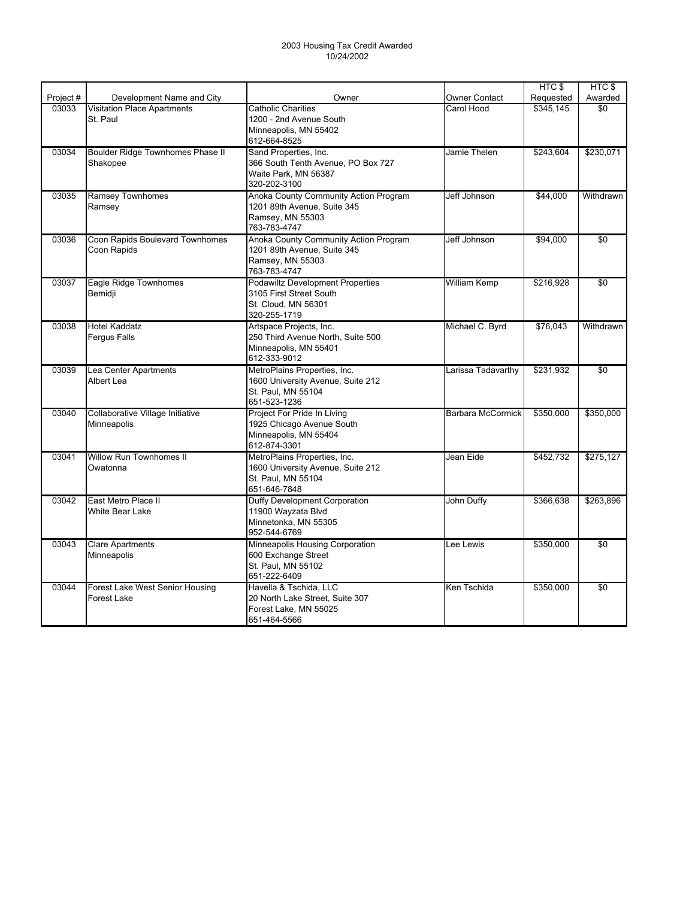|           |                                                       |                                                                                                           |                          | HTC \$    | HTC \$          |
|-----------|-------------------------------------------------------|-----------------------------------------------------------------------------------------------------------|--------------------------|-----------|-----------------|
| Project # | Development Name and City                             | Owner                                                                                                     | <b>Owner Contact</b>     | Requested | Awarded         |
| 03033     | <b>Visitation Place Apartments</b><br>St. Paul        | <b>Catholic Charities</b><br>1200 - 2nd Avenue South<br>Minneapolis, MN 55402<br>612-664-8525             | Carol Hood               | \$345,145 | \$0             |
| 03034     | Boulder Ridge Townhomes Phase II<br>Shakopee          | Sand Properties, Inc.<br>366 South Tenth Avenue, PO Box 727<br>Waite Park. MN 56387<br>320-202-3100       | Jamie Thelen             | \$243,604 | \$230,071       |
| 03035     | <b>Ramsey Townhomes</b><br>Ramsey                     | Anoka County Community Action Program<br>1201 89th Avenue, Suite 345<br>Ramsey, MN 55303<br>763-783-4747  | Jeff Johnson             | \$44,000  | Withdrawn       |
| 03036     | Coon Rapids Boulevard Townhomes<br>Coon Rapids        | Anoka County Community Action Program<br>1201 89th Avenue, Suite 345<br>Ramsey, MN 55303<br>763-783-4747  | Jeff Johnson             | \$94,000  | \$0             |
| 03037     | Eagle Ridge Townhomes<br>Bemidji                      | <b>Podawiltz Development Properties</b><br>3105 First Street South<br>St. Cloud. MN 56301<br>320-255-1719 | William Kemp             | \$216,928 | \$0             |
| 03038     | <b>Hotel Kaddatz</b><br><b>Fergus Falls</b>           | Artspace Projects, Inc.<br>250 Third Avenue North, Suite 500<br>Minneapolis, MN 55401<br>612-333-9012     | Michael C. Byrd          | \$76,043  | Withdrawn       |
| 03039     | Lea Center Apartments<br>Albert Lea                   | MetroPlains Properties, Inc.<br>1600 University Avenue, Suite 212<br>St. Paul, MN 55104<br>651-523-1236   | Larissa Tadavarthy       | \$231,932 | \$0             |
| 03040     | Collaborative Village Initiative<br>Minneapolis       | Project For Pride In Living<br>1925 Chicago Avenue South<br>Minneapolis, MN 55404<br>612-874-3301         | <b>Barbara McCormick</b> | \$350,000 | \$350,000       |
| 03041     | Willow Run Townhomes II<br>Owatonna                   | MetroPlains Properties, Inc.<br>1600 University Avenue, Suite 212<br>St. Paul. MN 55104<br>651-646-7848   | Jean Eide                | \$452,732 | \$275,127       |
| 03042     | East Metro Place II<br><b>White Bear Lake</b>         | Duffy Development Corporation<br>11900 Wayzata Blvd<br>Minnetonka, MN 55305<br>952-544-6769               | John Duffy               | \$366,638 | \$263,896       |
| 03043     | <b>Clare Apartments</b><br>Minneapolis                | Minneapolis Housing Corporation<br>600 Exchange Street<br>St. Paul, MN 55102<br>651-222-6409              | Lee Lewis                | \$350,000 | $\overline{50}$ |
| 03044     | Forest Lake West Senior Housing<br><b>Forest Lake</b> | Havella & Tschida, LLC<br>20 North Lake Street, Suite 307<br>Forest Lake, MN 55025<br>651-464-5566        | Ken Tschida              | \$350,000 | $\overline{50}$ |